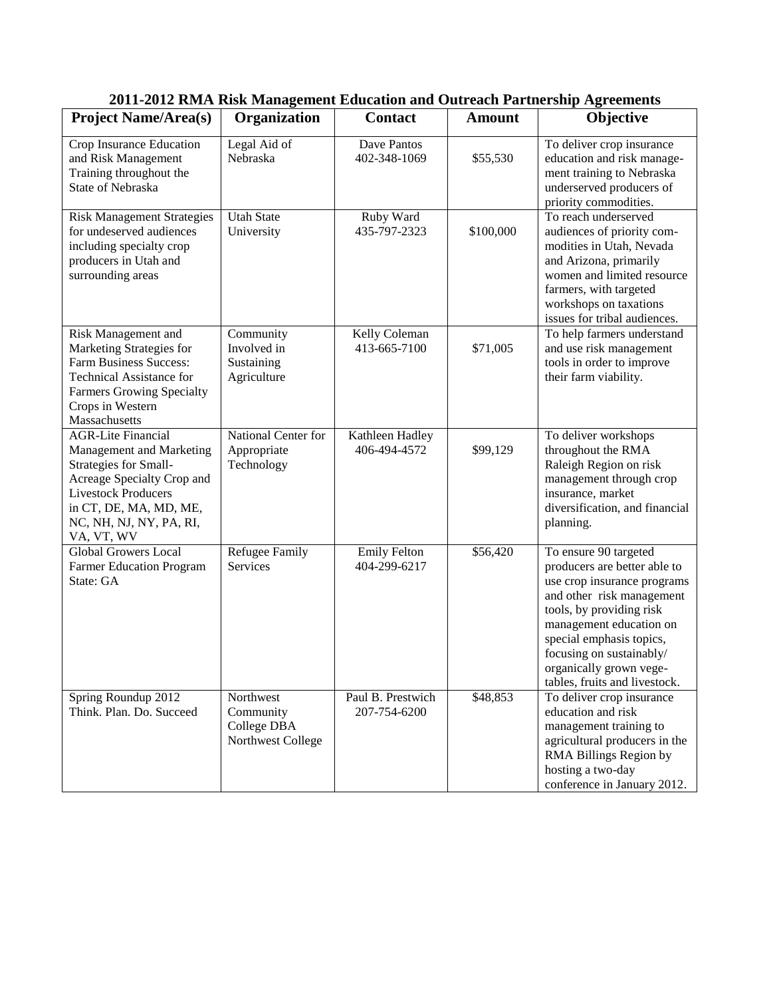| <b>Project Name/Area(s)</b>                                                                                                                                                                                   | Organization                                               | <b>Contact</b>                      | <b>Amount</b> | Objective                                                                                                                                                                                                                                                                                    |
|---------------------------------------------------------------------------------------------------------------------------------------------------------------------------------------------------------------|------------------------------------------------------------|-------------------------------------|---------------|----------------------------------------------------------------------------------------------------------------------------------------------------------------------------------------------------------------------------------------------------------------------------------------------|
| Crop Insurance Education<br>and Risk Management<br>Training throughout the<br>State of Nebraska                                                                                                               | Legal Aid of<br>Nebraska                                   | Dave Pantos<br>402-348-1069         | \$55,530      | To deliver crop insurance<br>education and risk manage-<br>ment training to Nebraska<br>underserved producers of<br>priority commodities.                                                                                                                                                    |
| <b>Risk Management Strategies</b><br>for undeserved audiences<br>including specialty crop<br>producers in Utah and<br>surrounding areas                                                                       | <b>Utah State</b><br>University                            | Ruby Ward<br>435-797-2323           | \$100,000     | To reach underserved<br>audiences of priority com-<br>modities in Utah, Nevada<br>and Arizona, primarily<br>women and limited resource<br>farmers, with targeted<br>workshops on taxations<br>issues for tribal audiences.                                                                   |
| Risk Management and<br>Marketing Strategies for<br><b>Farm Business Success:</b><br><b>Technical Assistance for</b><br><b>Farmers Growing Specialty</b><br>Crops in Western<br>Massachusetts                  | Community<br>Involved in<br>Sustaining<br>Agriculture      | Kelly Coleman<br>413-665-7100       | \$71,005      | To help farmers understand<br>and use risk management<br>tools in order to improve<br>their farm viability.                                                                                                                                                                                  |
| <b>AGR-Lite Financial</b><br>Management and Marketing<br>Strategies for Small-<br>Acreage Specialty Crop and<br><b>Livestock Producers</b><br>in CT, DE, MA, MD, ME,<br>NC, NH, NJ, NY, PA, RI,<br>VA, VT, WV | National Center for<br>Appropriate<br>Technology           | Kathleen Hadley<br>406-494-4572     | \$99,129      | To deliver workshops<br>throughout the RMA<br>Raleigh Region on risk<br>management through crop<br>insurance, market<br>diversification, and financial<br>planning.                                                                                                                          |
| <b>Global Growers Local</b><br><b>Farmer Education Program</b><br>State: GA                                                                                                                                   | Refugee Family<br>Services                                 | <b>Emily Felton</b><br>404-299-6217 | \$56,420      | To ensure 90 targeted<br>producers are better able to<br>use crop insurance programs<br>and other risk management<br>tools, by providing risk<br>management education on<br>special emphasis topics,<br>focusing on sustainably/<br>organically grown vege-<br>tables, fruits and livestock. |
| Spring Roundup 2012<br>Think. Plan. Do. Succeed                                                                                                                                                               | Northwest<br>Community<br>College DBA<br>Northwest College | Paul B. Prestwich<br>207-754-6200   | \$48,853      | To deliver crop insurance<br>education and risk<br>management training to<br>agricultural producers in the<br>RMA Billings Region by<br>hosting a two-day<br>conference in January 2012.                                                                                                     |

|  | 2011-2012 RMA Risk Management Education and Outreach Partnership Agreements |  |
|--|-----------------------------------------------------------------------------|--|
|--|-----------------------------------------------------------------------------|--|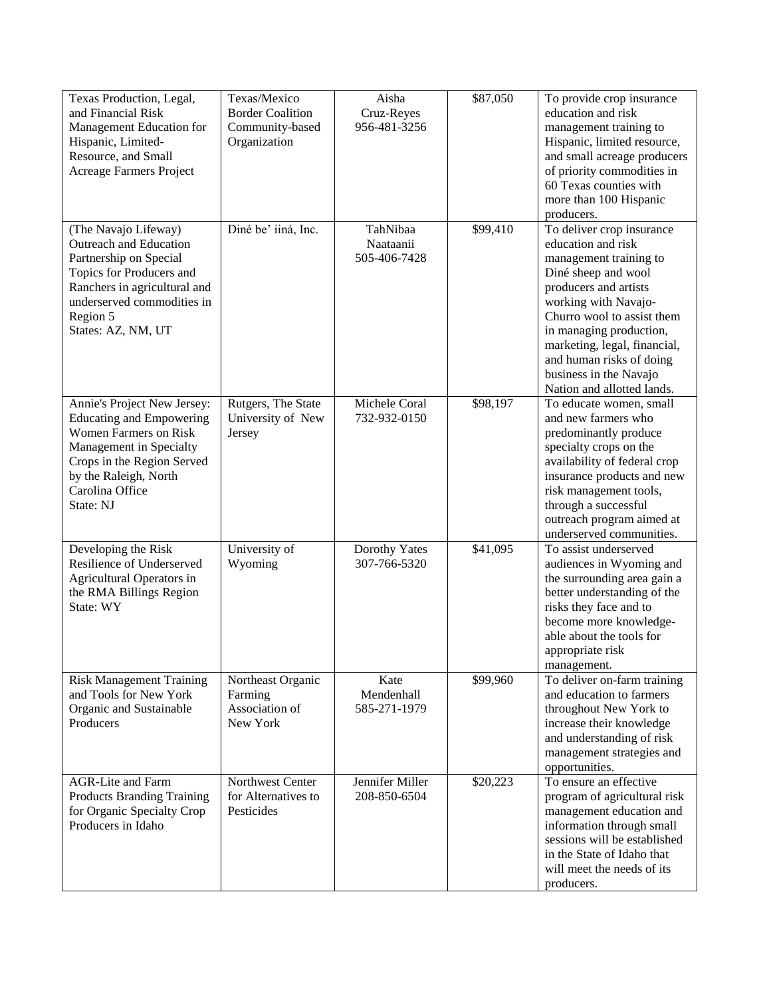| Texas Production, Legal,<br>and Financial Risk<br>Management Education for<br>Hispanic, Limited-<br>Resource, and Small<br>Acreage Farmers Project                                                               | Texas/Mexico<br><b>Border Coalition</b><br>Community-based<br>Organization | Aisha<br>Cruz-Reyes<br>956-481-3256   | \$87,050 | To provide crop insurance<br>education and risk<br>management training to<br>Hispanic, limited resource,<br>and small acreage producers<br>of priority commodities in<br>60 Texas counties with<br>more than 100 Hispanic<br>producers.                                                                                        |
|------------------------------------------------------------------------------------------------------------------------------------------------------------------------------------------------------------------|----------------------------------------------------------------------------|---------------------------------------|----------|--------------------------------------------------------------------------------------------------------------------------------------------------------------------------------------------------------------------------------------------------------------------------------------------------------------------------------|
| (The Navajo Lifeway)<br>Outreach and Education<br>Partnership on Special<br>Topics for Producers and<br>Ranchers in agricultural and<br>underserved commodities in<br>Region 5<br>States: AZ, NM, UT             | Diné be' iiná, Inc.                                                        | TahNibaa<br>Naataanii<br>505-406-7428 | \$99,410 | To deliver crop insurance<br>education and risk<br>management training to<br>Diné sheep and wool<br>producers and artists<br>working with Navajo-<br>Churro wool to assist them<br>in managing production,<br>marketing, legal, financial,<br>and human risks of doing<br>business in the Navajo<br>Nation and allotted lands. |
| Annie's Project New Jersey:<br><b>Educating and Empowering</b><br><b>Women Farmers on Risk</b><br>Management in Specialty<br>Crops in the Region Served<br>by the Raleigh, North<br>Carolina Office<br>State: NJ | Rutgers, The State<br>University of New<br>Jersey                          | Michele Coral<br>732-932-0150         | \$98,197 | To educate women, small<br>and new farmers who<br>predominantly produce<br>specialty crops on the<br>availability of federal crop<br>insurance products and new<br>risk management tools,<br>through a successful<br>outreach program aimed at<br>underserved communities.                                                     |
| Developing the Risk<br>Resilience of Underserved<br>Agricultural Operators in<br>the RMA Billings Region<br>State: WY                                                                                            | University of<br>Wyoming                                                   | Dorothy Yates<br>307-766-5320         | \$41,095 | To assist underserved<br>audiences in Wyoming and<br>the surrounding area gain a<br>better understanding of the<br>risks they face and to<br>become more knowledge-<br>able about the tools for<br>appropriate risk<br>management.                                                                                             |
| <b>Risk Management Training</b><br>and Tools for New York<br>Organic and Sustainable<br>Producers                                                                                                                | Northeast Organic<br>Farming<br>Association of<br>New York                 | Kate<br>Mendenhall<br>585-271-1979    | \$99,960 | To deliver on-farm training<br>and education to farmers<br>throughout New York to<br>increase their knowledge<br>and understanding of risk<br>management strategies and<br>opportunities.                                                                                                                                      |
| <b>AGR-Lite and Farm</b><br><b>Products Branding Training</b><br>for Organic Specialty Crop<br>Producers in Idaho                                                                                                | Northwest Center<br>for Alternatives to<br>Pesticides                      | Jennifer Miller<br>208-850-6504       | \$20,223 | To ensure an effective<br>program of agricultural risk<br>management education and<br>information through small<br>sessions will be established<br>in the State of Idaho that<br>will meet the needs of its<br>producers.                                                                                                      |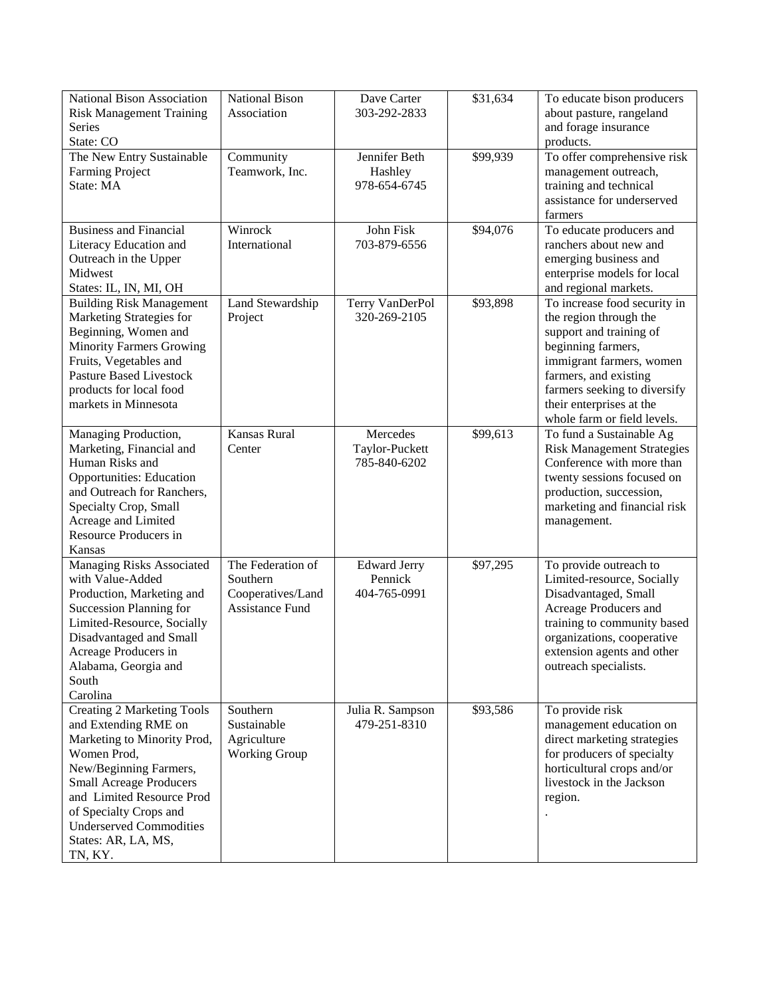| National Bison Association<br><b>Risk Management Training</b><br><b>Series</b><br>State: CO                                                                                                                                                                                                    | <b>National Bison</b><br>Association                                         | Dave Carter<br>303-292-2833                    | \$31,634 | To educate bison producers<br>about pasture, rangeland<br>and forage insurance<br>products.                                                                                                                                                             |
|------------------------------------------------------------------------------------------------------------------------------------------------------------------------------------------------------------------------------------------------------------------------------------------------|------------------------------------------------------------------------------|------------------------------------------------|----------|---------------------------------------------------------------------------------------------------------------------------------------------------------------------------------------------------------------------------------------------------------|
| The New Entry Sustainable<br><b>Farming Project</b><br>State: MA                                                                                                                                                                                                                               | Community<br>Teamwork, Inc.                                                  | Jennifer Beth<br>Hashley<br>978-654-6745       | \$99,939 | To offer comprehensive risk<br>management outreach,<br>training and technical<br>assistance for underserved<br>farmers                                                                                                                                  |
| <b>Business and Financial</b><br>Literacy Education and<br>Outreach in the Upper<br>Midwest<br>States: IL, IN, MI, OH                                                                                                                                                                          | Winrock<br>International                                                     | John Fisk<br>703-879-6556                      | \$94,076 | To educate producers and<br>ranchers about new and<br>emerging business and<br>enterprise models for local<br>and regional markets.                                                                                                                     |
| <b>Building Risk Management</b><br>Marketing Strategies for<br>Beginning, Women and<br><b>Minority Farmers Growing</b><br>Fruits, Vegetables and<br><b>Pasture Based Livestock</b><br>products for local food<br>markets in Minnesota                                                          | Land Stewardship<br>Project                                                  | Terry VanDerPol<br>320-269-2105                | \$93,898 | To increase food security in<br>the region through the<br>support and training of<br>beginning farmers,<br>immigrant farmers, women<br>farmers, and existing<br>farmers seeking to diversify<br>their enterprises at the<br>whole farm or field levels. |
| Managing Production,<br>Marketing, Financial and<br>Human Risks and<br><b>Opportunities: Education</b><br>and Outreach for Ranchers,<br>Specialty Crop, Small<br>Acreage and Limited<br>Resource Producers in<br>Kansas                                                                        | Kansas Rural<br>Center                                                       | Mercedes<br>Taylor-Puckett<br>785-840-6202     | \$99,613 | To fund a Sustainable Ag<br><b>Risk Management Strategies</b><br>Conference with more than<br>twenty sessions focused on<br>production, succession,<br>marketing and financial risk<br>management.                                                      |
| Managing Risks Associated<br>with Value-Added<br>Production, Marketing and<br><b>Succession Planning for</b><br>Limited-Resource, Socially<br>Disadvantaged and Small<br>Acreage Producers in<br>Alabama, Georgia and<br>South<br>Carolina                                                     | The Federation of<br>Southern<br>Cooperatives/Land<br><b>Assistance Fund</b> | <b>Edward Jerry</b><br>Pennick<br>404-765-0991 | \$97,295 | To provide outreach to<br>Limited-resource, Socially<br>Disadvantaged, Small<br>Acreage Producers and<br>training to community based<br>organizations, cooperative<br>extension agents and other<br>outreach specialists.                               |
| <b>Creating 2 Marketing Tools</b><br>and Extending RME on<br>Marketing to Minority Prod,<br>Women Prod,<br>New/Beginning Farmers,<br><b>Small Acreage Producers</b><br>and Limited Resource Prod<br>of Specialty Crops and<br><b>Underserved Commodities</b><br>States: AR, LA, MS,<br>TN, KY. | Southern<br>Sustainable<br>Agriculture<br><b>Working Group</b>               | Julia R. Sampson<br>479-251-8310               | \$93,586 | To provide risk<br>management education on<br>direct marketing strategies<br>for producers of specialty<br>horticultural crops and/or<br>livestock in the Jackson<br>region.                                                                            |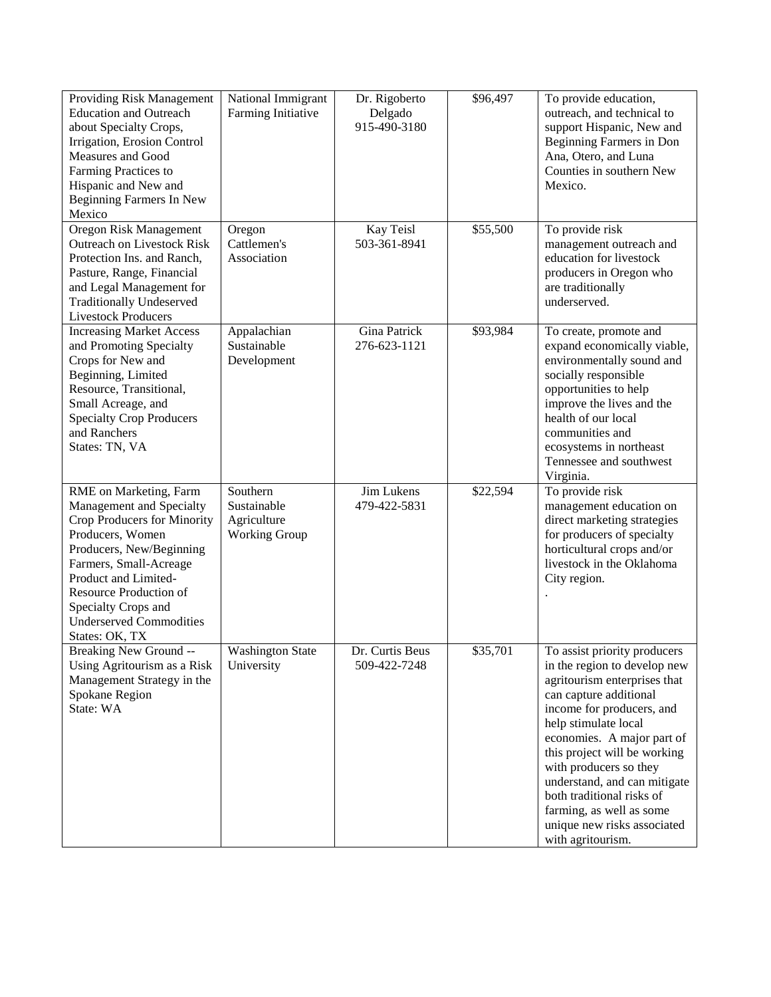| Providing Risk Management<br><b>Education and Outreach</b><br>about Specialty Crops,<br>Irrigation, Erosion Control<br>Measures and Good<br>Farming Practices to<br>Hispanic and New and<br>Beginning Farmers In New<br>Mexico                                                           | National Immigrant<br>Farming Initiative                       | Dr. Rigoberto<br>Delgado<br>915-490-3180 | \$96,497 | To provide education,<br>outreach, and technical to<br>support Hispanic, New and<br>Beginning Farmers in Don<br>Ana, Otero, and Luna<br>Counties in southern New<br>Mexico.                                                                                                                                                                                                                                      |
|------------------------------------------------------------------------------------------------------------------------------------------------------------------------------------------------------------------------------------------------------------------------------------------|----------------------------------------------------------------|------------------------------------------|----------|------------------------------------------------------------------------------------------------------------------------------------------------------------------------------------------------------------------------------------------------------------------------------------------------------------------------------------------------------------------------------------------------------------------|
| Oregon Risk Management<br><b>Outreach on Livestock Risk</b><br>Protection Ins. and Ranch,<br>Pasture, Range, Financial<br>and Legal Management for<br><b>Traditionally Undeserved</b><br><b>Livestock Producers</b>                                                                      | Oregon<br>Cattlemen's<br>Association                           | Kay Teisl<br>503-361-8941                | \$55,500 | To provide risk<br>management outreach and<br>education for livestock<br>producers in Oregon who<br>are traditionally<br>underserved.                                                                                                                                                                                                                                                                            |
| <b>Increasing Market Access</b><br>and Promoting Specialty<br>Crops for New and<br>Beginning, Limited<br>Resource, Transitional,<br>Small Acreage, and<br><b>Specialty Crop Producers</b><br>and Ranchers<br>States: TN, VA                                                              | Appalachian<br>Sustainable<br>Development                      | Gina Patrick<br>276-623-1121             | \$93,984 | To create, promote and<br>expand economically viable,<br>environmentally sound and<br>socially responsible<br>opportunities to help<br>improve the lives and the<br>health of our local<br>communities and<br>ecosystems in northeast<br>Tennessee and southwest<br>Virginia.                                                                                                                                    |
| RME on Marketing, Farm<br>Management and Specialty<br>Crop Producers for Minority<br>Producers, Women<br>Producers, New/Beginning<br>Farmers, Small-Acreage<br>Product and Limited-<br>Resource Production of<br>Specialty Crops and<br><b>Underserved Commodities</b><br>States: OK, TX | Southern<br>Sustainable<br>Agriculture<br><b>Working Group</b> | Jim Lukens<br>479-422-5831               | \$22,594 | To provide risk<br>management education on<br>direct marketing strategies<br>for producers of specialty<br>horticultural crops and/or<br>livestock in the Oklahoma<br>City region.                                                                                                                                                                                                                               |
| Breaking New Ground --<br>Using Agritourism as a Risk<br>Management Strategy in the<br>Spokane Region<br>State: WA                                                                                                                                                                       | <b>Washington State</b><br>University                          | Dr. Curtis Beus<br>509-422-7248          | \$35,701 | To assist priority producers<br>in the region to develop new<br>agritourism enterprises that<br>can capture additional<br>income for producers, and<br>help stimulate local<br>economies. A major part of<br>this project will be working<br>with producers so they<br>understand, and can mitigate<br>both traditional risks of<br>farming, as well as some<br>unique new risks associated<br>with agritourism. |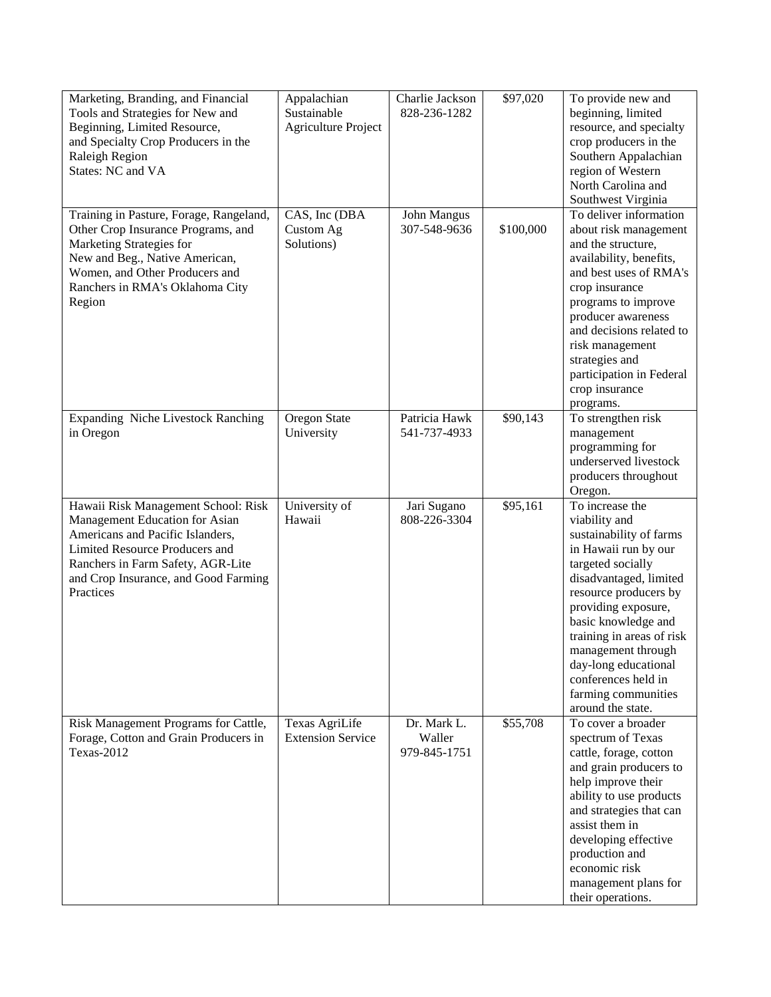| Marketing, Branding, and Financial<br>Tools and Strategies for New and<br>Beginning, Limited Resource,<br>and Specialty Crop Producers in the<br>Raleigh Region<br>States: NC and VA                                                  | Appalachian<br>Sustainable<br><b>Agriculture Project</b> | Charlie Jackson<br>828-236-1282       | \$97,020  | To provide new and<br>beginning, limited<br>resource, and specialty<br>crop producers in the<br>Southern Appalachian<br>region of Western<br>North Carolina and                                                                                                                                                                                         |
|---------------------------------------------------------------------------------------------------------------------------------------------------------------------------------------------------------------------------------------|----------------------------------------------------------|---------------------------------------|-----------|---------------------------------------------------------------------------------------------------------------------------------------------------------------------------------------------------------------------------------------------------------------------------------------------------------------------------------------------------------|
| Training in Pasture, Forage, Rangeland,<br>Other Crop Insurance Programs, and<br>Marketing Strategies for<br>New and Beg., Native American,<br>Women, and Other Producers and<br>Ranchers in RMA's Oklahoma City<br>Region            | CAS, Inc (DBA<br>Custom Ag<br>Solutions)                 | John Mangus<br>307-548-9636           | \$100,000 | Southwest Virginia<br>To deliver information<br>about risk management<br>and the structure,<br>availability, benefits,<br>and best uses of RMA's<br>crop insurance<br>programs to improve<br>producer awareness<br>and decisions related to<br>risk management<br>strategies and<br>participation in Federal<br>crop insurance<br>programs.             |
| Expanding Niche Livestock Ranching<br>in Oregon                                                                                                                                                                                       | Oregon State<br>University                               | Patricia Hawk<br>541-737-4933         | \$90,143  | To strengthen risk<br>management<br>programming for<br>underserved livestock<br>producers throughout<br>Oregon.                                                                                                                                                                                                                                         |
| Hawaii Risk Management School: Risk<br>Management Education for Asian<br>Americans and Pacific Islanders,<br>Limited Resource Producers and<br>Ranchers in Farm Safety, AGR-Lite<br>and Crop Insurance, and Good Farming<br>Practices | University of<br>Hawaii                                  | Jari Sugano<br>808-226-3304           | \$95,161  | To increase the<br>viability and<br>sustainability of farms<br>in Hawaii run by our<br>targeted socially<br>disadvantaged, limited<br>resource producers by<br>providing exposure,<br>basic knowledge and<br>training in areas of risk<br>management through<br>day-long educational<br>conferences held in<br>farming communities<br>around the state. |
| Risk Management Programs for Cattle,<br>Forage, Cotton and Grain Producers in<br>Texas-2012                                                                                                                                           | Texas AgriLife<br><b>Extension Service</b>               | Dr. Mark L.<br>Waller<br>979-845-1751 | \$55,708  | To cover a broader<br>spectrum of Texas<br>cattle, forage, cotton<br>and grain producers to<br>help improve their<br>ability to use products<br>and strategies that can<br>assist them in<br>developing effective<br>production and<br>economic risk<br>management plans for<br>their operations.                                                       |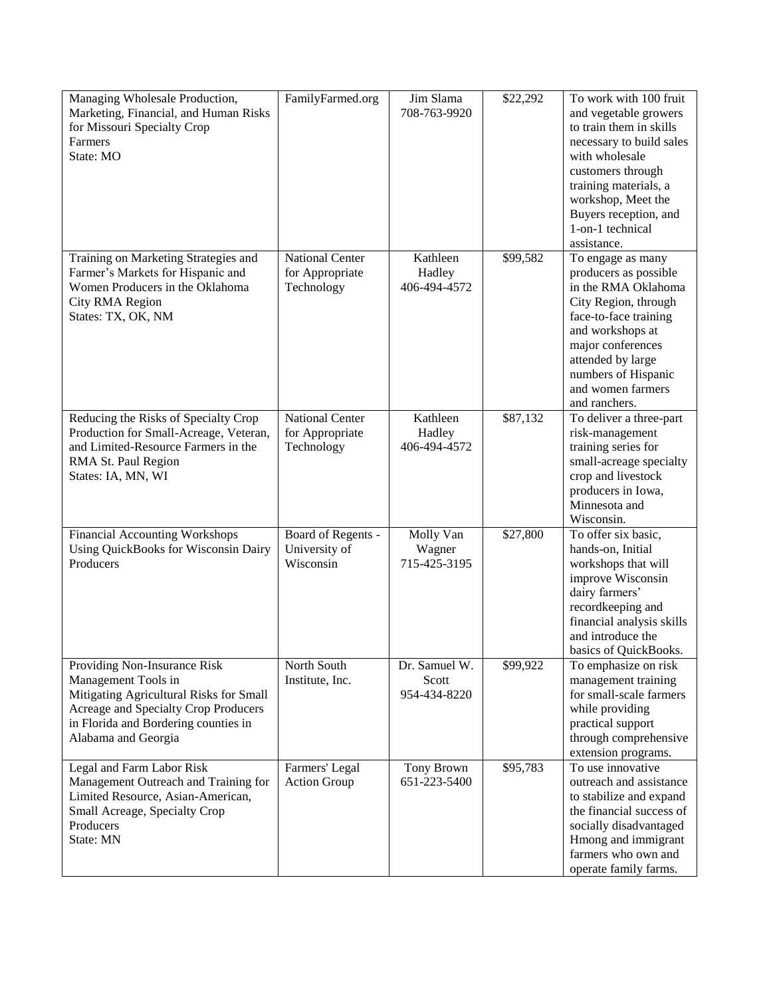| Managing Wholesale Production,              | FamilyFarmed.org       | Jim Slama     | \$22,292 | To work with 100 fruit    |
|---------------------------------------------|------------------------|---------------|----------|---------------------------|
| Marketing, Financial, and Human Risks       |                        | 708-763-9920  |          | and vegetable growers     |
| for Missouri Specialty Crop                 |                        |               |          | to train them in skills   |
| Farmers                                     |                        |               |          | necessary to build sales  |
| State: MO                                   |                        |               |          | with wholesale            |
|                                             |                        |               |          | customers through         |
|                                             |                        |               |          | training materials, a     |
|                                             |                        |               |          | workshop, Meet the        |
|                                             |                        |               |          | Buyers reception, and     |
|                                             |                        |               |          | 1-on-1 technical          |
|                                             |                        |               |          | assistance.               |
| Training on Marketing Strategies and        | <b>National Center</b> | Kathleen      | \$99,582 | To engage as many         |
| Farmer's Markets for Hispanic and           | for Appropriate        | Hadley        |          | producers as possible     |
| Women Producers in the Oklahoma             | Technology             | 406-494-4572  |          | in the RMA Oklahoma       |
|                                             |                        |               |          |                           |
| City RMA Region                             |                        |               |          | City Region, through      |
| States: TX, OK, NM                          |                        |               |          | face-to-face training     |
|                                             |                        |               |          | and workshops at          |
|                                             |                        |               |          | major conferences         |
|                                             |                        |               |          | attended by large         |
|                                             |                        |               |          | numbers of Hispanic       |
|                                             |                        |               |          | and women farmers         |
|                                             |                        |               |          | and ranchers.             |
| Reducing the Risks of Specialty Crop        | <b>National Center</b> | Kathleen      | \$87,132 | To deliver a three-part   |
| Production for Small-Acreage, Veteran,      | for Appropriate        | Hadley        |          | risk-management           |
| and Limited-Resource Farmers in the         | Technology             | 406-494-4572  |          | training series for       |
| RMA St. Paul Region                         |                        |               |          | small-acreage specialty   |
| States: IA, MN, WI                          |                        |               |          | crop and livestock        |
|                                             |                        |               |          | producers in Iowa,        |
|                                             |                        |               |          | Minnesota and             |
|                                             |                        |               |          | Wisconsin.                |
| <b>Financial Accounting Workshops</b>       | Board of Regents -     | Molly Van     | \$27,800 | To offer six basic,       |
| <b>Using QuickBooks for Wisconsin Dairy</b> | University of          | Wagner        |          | hands-on, Initial         |
| Producers                                   | Wisconsin              | 715-425-3195  |          | workshops that will       |
|                                             |                        |               |          | improve Wisconsin         |
|                                             |                        |               |          | dairy farmers'            |
|                                             |                        |               |          | recordkeeping and         |
|                                             |                        |               |          | financial analysis skills |
|                                             |                        |               |          | and introduce the         |
|                                             |                        |               |          | basics of QuickBooks.     |
| Providing Non-Insurance Risk                | North South            | Dr. Samuel W. | \$99,922 | To emphasize on risk      |
| Management Tools in                         | Institute, Inc.        | Scott         |          | management training       |
| Mitigating Agricultural Risks for Small     |                        | 954-434-8220  |          | for small-scale farmers   |
| Acreage and Specialty Crop Producers        |                        |               |          | while providing           |
| in Florida and Bordering counties in        |                        |               |          | practical support         |
| Alabama and Georgia                         |                        |               |          | through comprehensive     |
|                                             |                        |               |          | extension programs.       |
| Legal and Farm Labor Risk                   | Farmers' Legal         | Tony Brown    | \$95,783 | To use innovative         |
| Management Outreach and Training for        | Action Group           | 651-223-5400  |          | outreach and assistance   |
| Limited Resource, Asian-American,           |                        |               |          | to stabilize and expand   |
| Small Acreage, Specialty Crop               |                        |               |          | the financial success of  |
| Producers                                   |                        |               |          | socially disadvantaged    |
| State: MN                                   |                        |               |          | Hmong and immigrant       |
|                                             |                        |               |          | farmers who own and       |
|                                             |                        |               |          |                           |
|                                             |                        |               |          | operate family farms.     |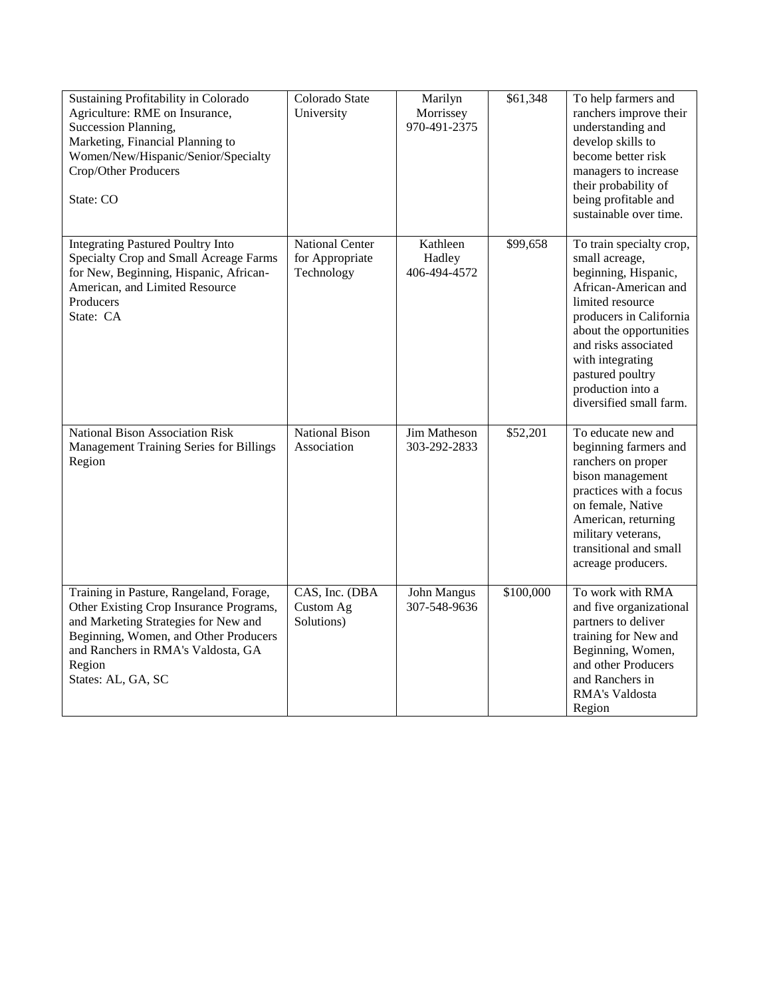| Sustaining Profitability in Colorado<br>Agriculture: RME on Insurance,<br>Succession Planning,<br>Marketing, Financial Planning to<br>Women/New/Hispanic/Senior/Specialty<br>Crop/Other Producers<br>State: CO                            | Colorado State<br>University                     | Marilyn<br>Morrissey<br>970-491-2375 | \$61,348  | To help farmers and<br>ranchers improve their<br>understanding and<br>develop skills to<br>become better risk<br>managers to increase<br>their probability of<br>being profitable and<br>sustainable over time.                                                                      |
|-------------------------------------------------------------------------------------------------------------------------------------------------------------------------------------------------------------------------------------------|--------------------------------------------------|--------------------------------------|-----------|--------------------------------------------------------------------------------------------------------------------------------------------------------------------------------------------------------------------------------------------------------------------------------------|
| <b>Integrating Pastured Poultry Into</b><br>Specialty Crop and Small Acreage Farms<br>for New, Beginning, Hispanic, African-<br>American, and Limited Resource<br>Producers<br>State: CA                                                  | National Center<br>for Appropriate<br>Technology | Kathleen<br>Hadley<br>406-494-4572   | \$99,658  | To train specialty crop,<br>small acreage,<br>beginning, Hispanic,<br>African-American and<br>limited resource<br>producers in California<br>about the opportunities<br>and risks associated<br>with integrating<br>pastured poultry<br>production into a<br>diversified small farm. |
| National Bison Association Risk<br>Management Training Series for Billings<br>Region                                                                                                                                                      | <b>National Bison</b><br>Association             | <b>Jim Matheson</b><br>303-292-2833  | \$52,201  | To educate new and<br>beginning farmers and<br>ranchers on proper<br>bison management<br>practices with a focus<br>on female, Native<br>American, returning<br>military veterans,<br>transitional and small<br>acreage producers.                                                    |
| Training in Pasture, Rangeland, Forage,<br>Other Existing Crop Insurance Programs,<br>and Marketing Strategies for New and<br>Beginning, Women, and Other Producers<br>and Ranchers in RMA's Valdosta, GA<br>Region<br>States: AL, GA, SC | CAS, Inc. (DBA<br>Custom Ag<br>Solutions)        | John Mangus<br>307-548-9636          | \$100,000 | To work with RMA<br>and five organizational<br>partners to deliver<br>training for New and<br>Beginning, Women,<br>and other Producers<br>and Ranchers in<br>RMA's Valdosta<br>Region                                                                                                |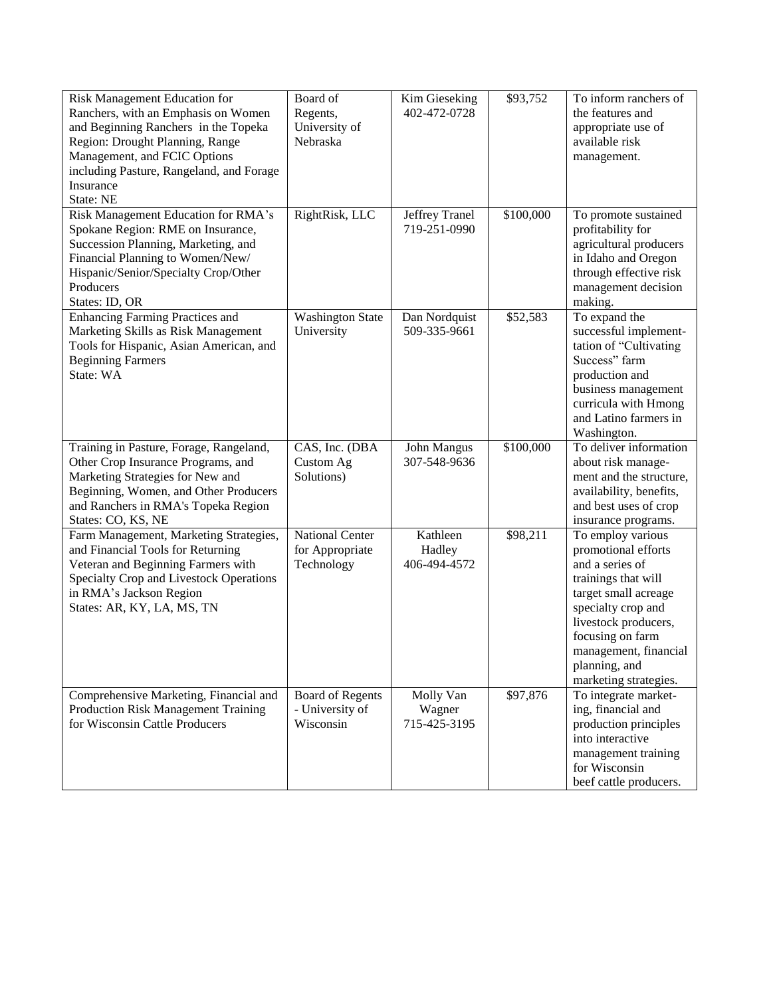| Risk Management Education for              | Board of                | Kim Gieseking  | $\overline{$}93,752$ | To inform ranchers of                   |
|--------------------------------------------|-------------------------|----------------|----------------------|-----------------------------------------|
| Ranchers, with an Emphasis on Women        | Regents,                | 402-472-0728   |                      | the features and                        |
| and Beginning Ranchers in the Topeka       | University of           |                |                      | appropriate use of                      |
| Region: Drought Planning, Range            | Nebraska                |                |                      | available risk                          |
| Management, and FCIC Options               |                         |                |                      | management.                             |
| including Pasture, Rangeland, and Forage   |                         |                |                      |                                         |
| Insurance                                  |                         |                |                      |                                         |
| State: NE                                  |                         |                |                      |                                         |
| Risk Management Education for RMA's        | RightRisk, LLC          | Jeffrey Tranel | \$100,000            | To promote sustained                    |
| Spokane Region: RME on Insurance,          |                         | 719-251-0990   |                      | profitability for                       |
| Succession Planning, Marketing, and        |                         |                |                      | agricultural producers                  |
| Financial Planning to Women/New/           |                         |                |                      | in Idaho and Oregon                     |
| Hispanic/Senior/Specialty Crop/Other       |                         |                |                      | through effective risk                  |
| Producers                                  |                         |                |                      | management decision                     |
| States: ID, OR                             |                         |                |                      | making.                                 |
| <b>Enhancing Farming Practices and</b>     | <b>Washington State</b> | Dan Nordquist  | \$52,583             | To expand the                           |
| Marketing Skills as Risk Management        | University              | 509-335-9661   |                      | successful implement-                   |
| Tools for Hispanic, Asian American, and    |                         |                |                      | tation of "Cultivating                  |
| <b>Beginning Farmers</b>                   |                         |                |                      | Success" farm                           |
| State: WA                                  |                         |                |                      | production and                          |
|                                            |                         |                |                      | business management                     |
|                                            |                         |                |                      | curricula with Hmong                    |
|                                            |                         |                |                      | and Latino farmers in                   |
|                                            |                         |                |                      | Washington.                             |
|                                            |                         |                |                      |                                         |
|                                            |                         |                |                      |                                         |
| Training in Pasture, Forage, Rangeland,    | CAS, Inc. (DBA          | John Mangus    | \$100,000            | To deliver information                  |
| Other Crop Insurance Programs, and         | Custom Ag               | 307-548-9636   |                      | about risk manage-                      |
| Marketing Strategies for New and           | Solutions)              |                |                      | ment and the structure,                 |
| Beginning, Women, and Other Producers      |                         |                |                      | availability, benefits,                 |
| and Ranchers in RMA's Topeka Region        |                         |                |                      | and best uses of crop                   |
| States: CO, KS, NE                         |                         |                |                      | insurance programs.                     |
| Farm Management, Marketing Strategies,     | <b>National Center</b>  | Kathleen       | \$98,211             | To employ various                       |
| and Financial Tools for Returning          | for Appropriate         | Hadley         |                      | promotional efforts                     |
| Veteran and Beginning Farmers with         | Technology              | 406-494-4572   |                      | and a series of                         |
| Specialty Crop and Livestock Operations    |                         |                |                      | trainings that will                     |
| in RMA's Jackson Region                    |                         |                |                      | target small acreage                    |
| States: AR, KY, LA, MS, TN                 |                         |                |                      | specialty crop and                      |
|                                            |                         |                |                      | livestock producers,                    |
|                                            |                         |                |                      | focusing on farm                        |
|                                            |                         |                |                      | management, financial                   |
|                                            |                         |                |                      | planning, and                           |
|                                            |                         |                |                      | marketing strategies.                   |
| Comprehensive Marketing, Financial and     | <b>Board of Regents</b> | Molly Van      | \$97,876             | To integrate market-                    |
| <b>Production Risk Management Training</b> | - University of         | Wagner         |                      | ing, financial and                      |
| for Wisconsin Cattle Producers             | Wisconsin               | 715-425-3195   |                      | production principles                   |
|                                            |                         |                |                      | into interactive                        |
|                                            |                         |                |                      | management training                     |
|                                            |                         |                |                      | for Wisconsin<br>beef cattle producers. |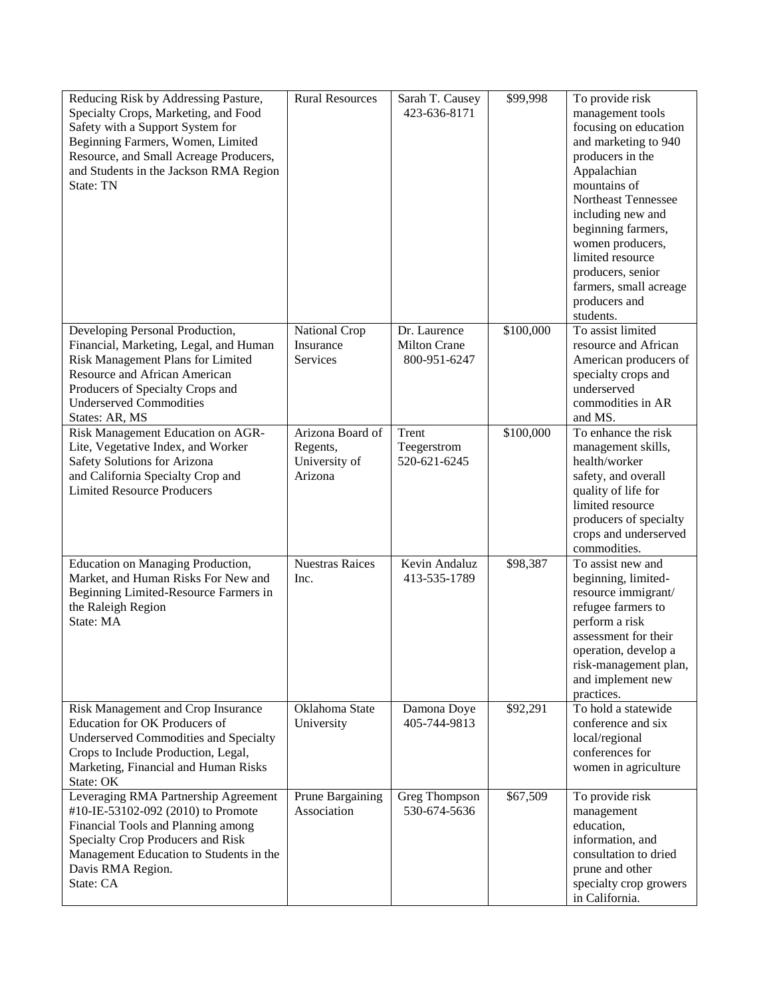| Reducing Risk by Addressing Pasture,<br>Specialty Crops, Marketing, and Food<br>Safety with a Support System for<br>Beginning Farmers, Women, Limited<br>Resource, and Small Acreage Producers,<br>and Students in the Jackson RMA Region<br>State: TN | <b>Rural Resources</b>                                   | Sarah T. Causey<br>423-636-8171                     | \$99,998  | To provide risk<br>management tools<br>focusing on education<br>and marketing to 940<br>producers in the<br>Appalachian<br>mountains of<br>Northeast Tennessee<br>including new and<br>beginning farmers,<br>women producers,<br>limited resource<br>producers, senior<br>farmers, small acreage<br>producers and<br>students. |
|--------------------------------------------------------------------------------------------------------------------------------------------------------------------------------------------------------------------------------------------------------|----------------------------------------------------------|-----------------------------------------------------|-----------|--------------------------------------------------------------------------------------------------------------------------------------------------------------------------------------------------------------------------------------------------------------------------------------------------------------------------------|
| Developing Personal Production,<br>Financial, Marketing, Legal, and Human<br>Risk Management Plans for Limited<br>Resource and African American<br>Producers of Specialty Crops and<br><b>Underserved Commodities</b><br>States: AR, MS                | National Crop<br>Insurance<br>Services                   | Dr. Laurence<br><b>Milton Crane</b><br>800-951-6247 | \$100,000 | To assist limited<br>resource and African<br>American producers of<br>specialty crops and<br>underserved<br>commodities in AR<br>and MS.                                                                                                                                                                                       |
| Risk Management Education on AGR-<br>Lite, Vegetative Index, and Worker<br>Safety Solutions for Arizona<br>and California Specialty Crop and<br><b>Limited Resource Producers</b>                                                                      | Arizona Board of<br>Regents,<br>University of<br>Arizona | Trent<br>Teegerstrom<br>520-621-6245                | \$100,000 | To enhance the risk<br>management skills,<br>health/worker<br>safety, and overall<br>quality of life for<br>limited resource<br>producers of specialty<br>crops and underserved<br>commodities.                                                                                                                                |
| Education on Managing Production,<br>Market, and Human Risks For New and<br>Beginning Limited-Resource Farmers in<br>the Raleigh Region<br>State: MA                                                                                                   | <b>Nuestras Raices</b><br>Inc.                           | Kevin Andaluz<br>413-535-1789                       | \$98,387  | To assist new and<br>beginning, limited-<br>resource immigrant/<br>refugee farmers to<br>perform a risk<br>assessment for their<br>operation, develop a<br>risk-management plan,<br>and implement new<br>practices.                                                                                                            |
| Risk Management and Crop Insurance<br><b>Education for OK Producers of</b><br><b>Underserved Commodities and Specialty</b><br>Crops to Include Production, Legal,<br>Marketing, Financial and Human Risks<br>State: OK                                 | Oklahoma State<br>University                             | Damona Doye<br>405-744-9813                         | \$92,291  | To hold a statewide<br>conference and six<br>local/regional<br>conferences for<br>women in agriculture                                                                                                                                                                                                                         |
| Leveraging RMA Partnership Agreement<br>#10-IE-53102-092 (2010) to Promote<br>Financial Tools and Planning among<br>Specialty Crop Producers and Risk<br>Management Education to Students in the<br>Davis RMA Region.<br>State: CA                     | Prune Bargaining<br>Association                          | Greg Thompson<br>530-674-5636                       | \$67,509  | To provide risk<br>management<br>education,<br>information, and<br>consultation to dried<br>prune and other<br>specialty crop growers<br>in California.                                                                                                                                                                        |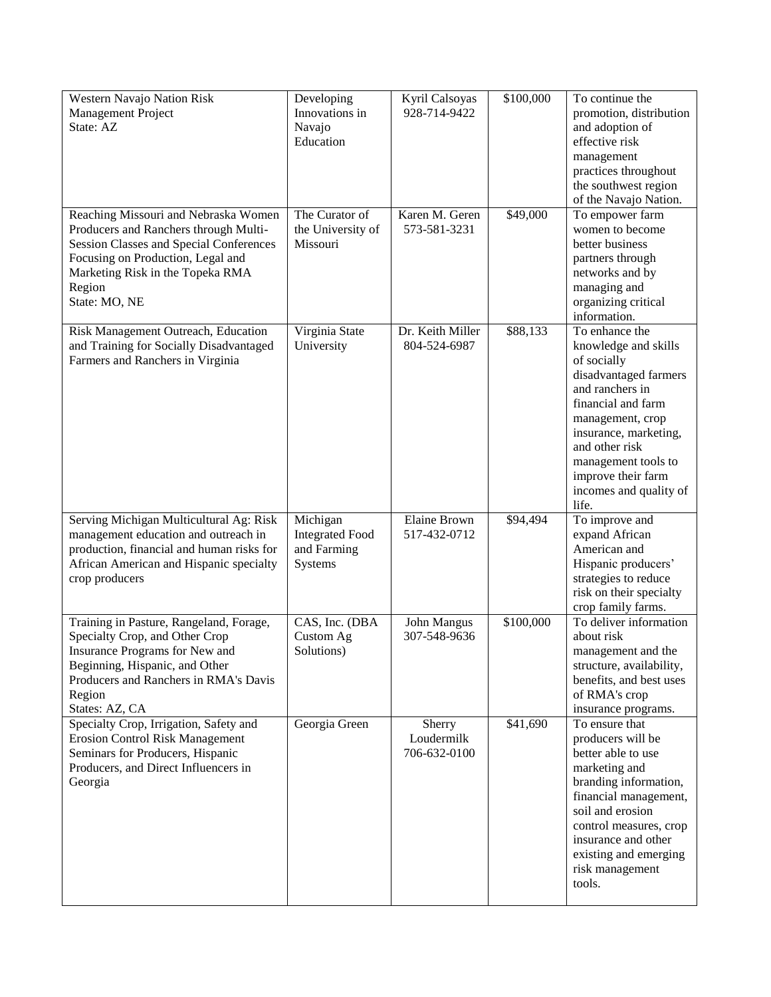| Western Navajo Nation Risk                                                      | Developing             | Kyril Calsoyas      | \$100,000 | To continue the                         |
|---------------------------------------------------------------------------------|------------------------|---------------------|-----------|-----------------------------------------|
| Management Project                                                              | Innovations in         | 928-714-9422        |           | promotion, distribution                 |
| State: AZ                                                                       | Navajo                 |                     |           | and adoption of                         |
|                                                                                 | Education              |                     |           | effective risk                          |
|                                                                                 |                        |                     |           | management                              |
|                                                                                 |                        |                     |           | practices throughout                    |
|                                                                                 |                        |                     |           | the southwest region                    |
|                                                                                 |                        |                     |           | of the Navajo Nation.                   |
| Reaching Missouri and Nebraska Women                                            | The Curator of         | Karen M. Geren      | \$49,000  | To empower farm                         |
| Producers and Ranchers through Multi-                                           | the University of      | 573-581-3231        |           | women to become                         |
| Session Classes and Special Conferences                                         | Missouri               |                     |           | better business                         |
| Focusing on Production, Legal and                                               |                        |                     |           | partners through                        |
| Marketing Risk in the Topeka RMA                                                |                        |                     |           | networks and by                         |
| Region                                                                          |                        |                     |           | managing and                            |
| State: MO, NE                                                                   |                        |                     |           | organizing critical                     |
|                                                                                 |                        |                     |           | information.                            |
| Risk Management Outreach, Education                                             | Virginia State         | Dr. Keith Miller    | \$88,133  | To enhance the                          |
| and Training for Socially Disadvantaged                                         | University             | 804-524-6987        |           | knowledge and skills                    |
| Farmers and Ranchers in Virginia                                                |                        |                     |           | of socially                             |
|                                                                                 |                        |                     |           | disadvantaged farmers                   |
|                                                                                 |                        |                     |           | and ranchers in                         |
|                                                                                 |                        |                     |           | financial and farm                      |
|                                                                                 |                        |                     |           |                                         |
|                                                                                 |                        |                     |           | management, crop                        |
|                                                                                 |                        |                     |           | insurance, marketing,<br>and other risk |
|                                                                                 |                        |                     |           |                                         |
|                                                                                 |                        |                     |           | management tools to                     |
|                                                                                 |                        |                     |           | improve their farm                      |
|                                                                                 |                        |                     |           | incomes and quality of<br>life.         |
|                                                                                 | Michigan               | <b>Elaine Brown</b> | \$94,494  | To improve and                          |
| Serving Michigan Multicultural Ag: Risk<br>management education and outreach in | <b>Integrated Food</b> | 517-432-0712        |           | expand African                          |
| production, financial and human risks for                                       | and Farming            |                     |           | American and                            |
|                                                                                 |                        |                     |           |                                         |
| African American and Hispanic specialty<br>crop producers                       | Systems                |                     |           | Hispanic producers'                     |
|                                                                                 |                        |                     |           | strategies to reduce                    |
|                                                                                 |                        |                     |           | risk on their specialty                 |
|                                                                                 |                        |                     |           | crop family farms.                      |
| Training in Pasture, Rangeland, Forage,                                         | CAS, Inc. (DBA         | John Mangus         | \$100,000 | To deliver information                  |
| Specialty Crop, and Other Crop                                                  | Custom Ag              | 307-548-9636        |           | about risk                              |
| Insurance Programs for New and                                                  | Solutions)             |                     |           | management and the                      |
| Beginning, Hispanic, and Other                                                  |                        |                     |           | structure, availability,                |
| Producers and Ranchers in RMA's Davis                                           |                        |                     |           | benefits, and best uses                 |
| Region                                                                          |                        |                     |           | of RMA's crop                           |
| States: AZ, CA                                                                  |                        |                     |           | insurance programs.                     |
| Specialty Crop, Irrigation, Safety and                                          | Georgia Green          | Sherry              | \$41,690  | To ensure that                          |
| <b>Erosion Control Risk Management</b>                                          |                        | Loudermilk          |           | producers will be                       |
| Seminars for Producers, Hispanic                                                |                        | 706-632-0100        |           | better able to use                      |
| Producers, and Direct Influencers in                                            |                        |                     |           | marketing and                           |
| Georgia                                                                         |                        |                     |           | branding information,                   |
|                                                                                 |                        |                     |           | financial management,                   |
|                                                                                 |                        |                     |           | soil and erosion                        |
|                                                                                 |                        |                     |           | control measures, crop                  |
|                                                                                 |                        |                     |           | insurance and other                     |
|                                                                                 |                        |                     |           | existing and emerging                   |
|                                                                                 |                        |                     |           | risk management                         |
|                                                                                 |                        |                     |           | tools.                                  |
|                                                                                 |                        |                     |           |                                         |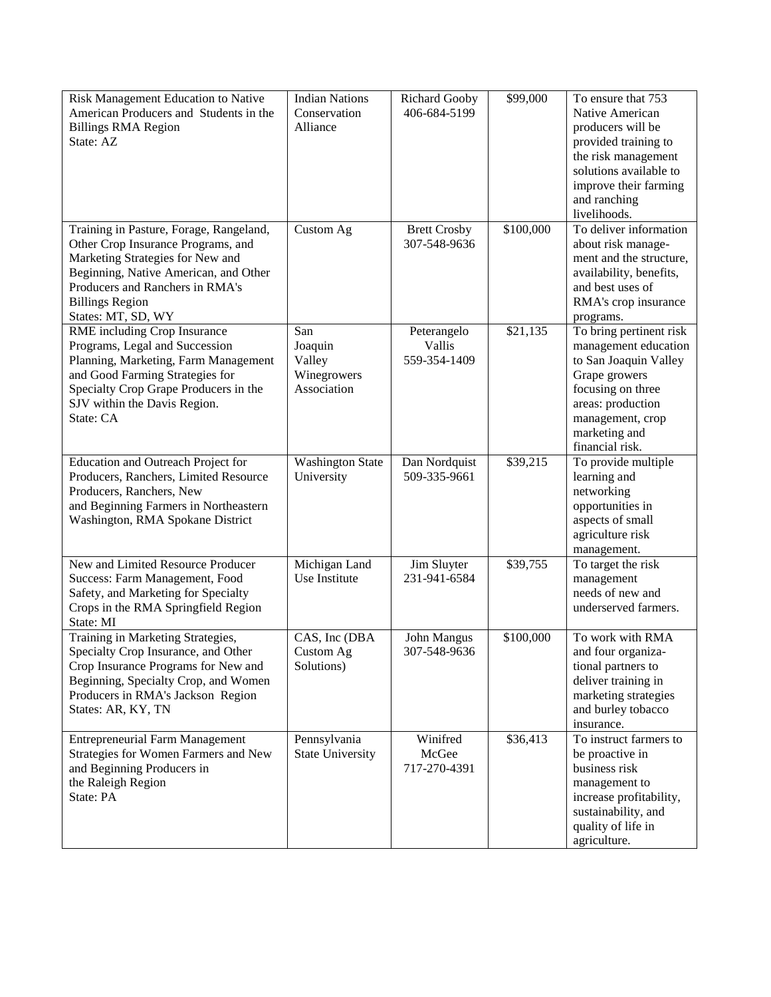| Risk Management Education to Native                               | <b>Indian Nations</b>   | <b>Richard Gooby</b> | \$99,000  | To ensure that 753             |
|-------------------------------------------------------------------|-------------------------|----------------------|-----------|--------------------------------|
| American Producers and Students in the                            | Conservation            | 406-684-5199         |           | Native American                |
| <b>Billings RMA Region</b>                                        | Alliance                |                      |           | producers will be              |
| State: AZ                                                         |                         |                      |           | provided training to           |
|                                                                   |                         |                      |           | the risk management            |
|                                                                   |                         |                      |           | solutions available to         |
|                                                                   |                         |                      |           | improve their farming          |
|                                                                   |                         |                      |           | and ranching                   |
|                                                                   |                         |                      |           | livelihoods.                   |
| Training in Pasture, Forage, Rangeland,                           | Custom Ag               | <b>Brett Crosby</b>  | \$100,000 | To deliver information         |
| Other Crop Insurance Programs, and                                |                         | 307-548-9636         |           | about risk manage-             |
| Marketing Strategies for New and                                  |                         |                      |           | ment and the structure,        |
| Beginning, Native American, and Other                             |                         |                      |           | availability, benefits,        |
| Producers and Ranchers in RMA's                                   |                         |                      |           | and best uses of               |
| <b>Billings Region</b>                                            |                         |                      |           | RMA's crop insurance           |
| States: MT, SD, WY                                                |                         |                      |           | programs.                      |
| RME including Crop Insurance                                      | San                     | Peterangelo          | \$21,135  | To bring pertinent risk        |
| Programs, Legal and Succession                                    | Joaquin                 | Vallis               |           | management education           |
| Planning, Marketing, Farm Management                              | Valley                  | 559-354-1409         |           | to San Joaquin Valley          |
| and Good Farming Strategies for                                   | Winegrowers             |                      |           | Grape growers                  |
| Specialty Crop Grape Producers in the                             | Association             |                      |           | focusing on three              |
| SJV within the Davis Region.                                      |                         |                      |           | areas: production              |
| State: CA                                                         |                         |                      |           | management, crop               |
|                                                                   |                         |                      |           | marketing and                  |
|                                                                   |                         |                      |           | financial risk.                |
| Education and Outreach Project for                                | <b>Washington State</b> | Dan Nordquist        | \$39,215  | To provide multiple            |
| Producers, Ranchers, Limited Resource                             | University              | 509-335-9661         |           | learning and                   |
| Producers, Ranchers, New<br>and Beginning Farmers in Northeastern |                         |                      |           | networking<br>opportunities in |
| Washington, RMA Spokane District                                  |                         |                      |           | aspects of small               |
|                                                                   |                         |                      |           | agriculture risk               |
|                                                                   |                         |                      |           | management.                    |
| New and Limited Resource Producer                                 | Michigan Land           | Jim Sluyter          | \$39,755  | To target the risk             |
| Success: Farm Management, Food                                    | Use Institute           | 231-941-6584         |           | management                     |
| Safety, and Marketing for Specialty                               |                         |                      |           | needs of new and               |
| Crops in the RMA Springfield Region                               |                         |                      |           | underserved farmers.           |
| State: MI                                                         |                         |                      |           |                                |
| Training in Marketing Strategies,                                 | CAS, Inc (DBA           | John Mangus          | \$100,000 | To work with RMA               |
| Specialty Crop Insurance, and Other                               | Custom Ag               | 307-548-9636         |           | and four organiza-             |
| Crop Insurance Programs for New and                               | Solutions)              |                      |           | tional partners to             |
| Beginning, Specialty Crop, and Women                              |                         |                      |           | deliver training in            |
| Producers in RMA's Jackson Region                                 |                         |                      |           | marketing strategies           |
| States: AR, KY, TN                                                |                         |                      |           | and burley tobacco             |
|                                                                   |                         |                      |           | insurance.                     |
| <b>Entrepreneurial Farm Management</b>                            | Pennsylvania            | Winifred             | \$36,413  | To instruct farmers to         |
| Strategies for Women Farmers and New                              | <b>State University</b> | McGee                |           | be proactive in                |
| and Beginning Producers in                                        |                         | 717-270-4391         |           | business risk                  |
| the Raleigh Region                                                |                         |                      |           | management to                  |
| State: PA                                                         |                         |                      |           | increase profitability,        |
|                                                                   |                         |                      |           | sustainability, and            |
|                                                                   |                         |                      |           | quality of life in             |
|                                                                   |                         |                      |           | agriculture.                   |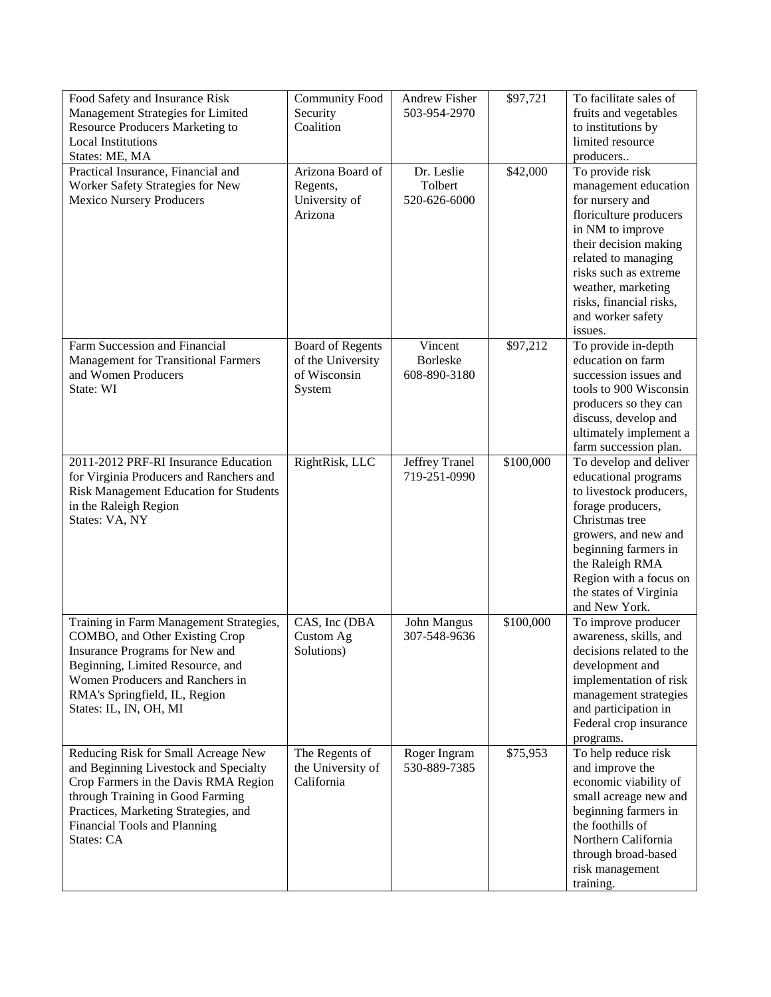| Food Safety and Insurance Risk<br>Management Strategies for Limited<br><b>Resource Producers Marketing to</b><br><b>Local Institutions</b><br>States: ME, MA                                                                                   | <b>Community Food</b><br>Security<br>Coalition                         | <b>Andrew Fisher</b><br>503-954-2970       | \$97,721  | To facilitate sales of<br>fruits and vegetables<br>to institutions by<br>limited resource<br>producers                                                                                                                                                             |
|------------------------------------------------------------------------------------------------------------------------------------------------------------------------------------------------------------------------------------------------|------------------------------------------------------------------------|--------------------------------------------|-----------|--------------------------------------------------------------------------------------------------------------------------------------------------------------------------------------------------------------------------------------------------------------------|
| Practical Insurance, Financial and<br>Worker Safety Strategies for New<br><b>Mexico Nursery Producers</b>                                                                                                                                      | Arizona Board of<br>Regents,<br>University of<br>Arizona               | Dr. Leslie<br>Tolbert<br>520-626-6000      | \$42,000  | To provide risk<br>management education<br>for nursery and<br>floriculture producers<br>in NM to improve<br>their decision making<br>related to managing<br>risks such as extreme<br>weather, marketing<br>risks, financial risks,<br>and worker safety<br>issues. |
| Farm Succession and Financial<br><b>Management for Transitional Farmers</b><br>and Women Producers<br>State: WI                                                                                                                                | <b>Board of Regents</b><br>of the University<br>of Wisconsin<br>System | Vincent<br><b>Borleske</b><br>608-890-3180 | \$97,212  | To provide in-depth<br>education on farm<br>succession issues and<br>tools to 900 Wisconsin<br>producers so they can<br>discuss, develop and<br>ultimately implement a<br>farm succession plan.                                                                    |
| 2011-2012 PRF-RI Insurance Education<br>for Virginia Producers and Ranchers and<br>Risk Management Education for Students<br>in the Raleigh Region<br>States: VA, NY                                                                           | RightRisk, LLC                                                         | Jeffrey Tranel<br>719-251-0990             | \$100,000 | To develop and deliver<br>educational programs<br>to livestock producers,<br>forage producers,<br>Christmas tree<br>growers, and new and<br>beginning farmers in<br>the Raleigh RMA<br>Region with a focus on<br>the states of Virginia<br>and New York.           |
| Training in Farm Management Strategies,<br>COMBO, and Other Existing Crop<br>Insurance Programs for New and<br>Beginning, Limited Resource, and<br>Women Producers and Ranchers in<br>RMA's Springfield, IL, Region<br>States: IL, IN, OH, MI  | CAS, Inc (DBA<br>Custom Ag<br>Solutions)                               | John Mangus<br>307-548-9636                | \$100,000 | To improve producer<br>awareness, skills, and<br>decisions related to the<br>development and<br>implementation of risk<br>management strategies<br>and participation in<br>Federal crop insurance<br>programs.                                                     |
| Reducing Risk for Small Acreage New<br>and Beginning Livestock and Specialty<br>Crop Farmers in the Davis RMA Region<br>through Training in Good Farming<br>Practices, Marketing Strategies, and<br>Financial Tools and Planning<br>States: CA | The Regents of<br>the University of<br>California                      | Roger Ingram<br>530-889-7385               | \$75,953  | To help reduce risk<br>and improve the<br>economic viability of<br>small acreage new and<br>beginning farmers in<br>the foothills of<br>Northern California<br>through broad-based<br>risk management<br>training.                                                 |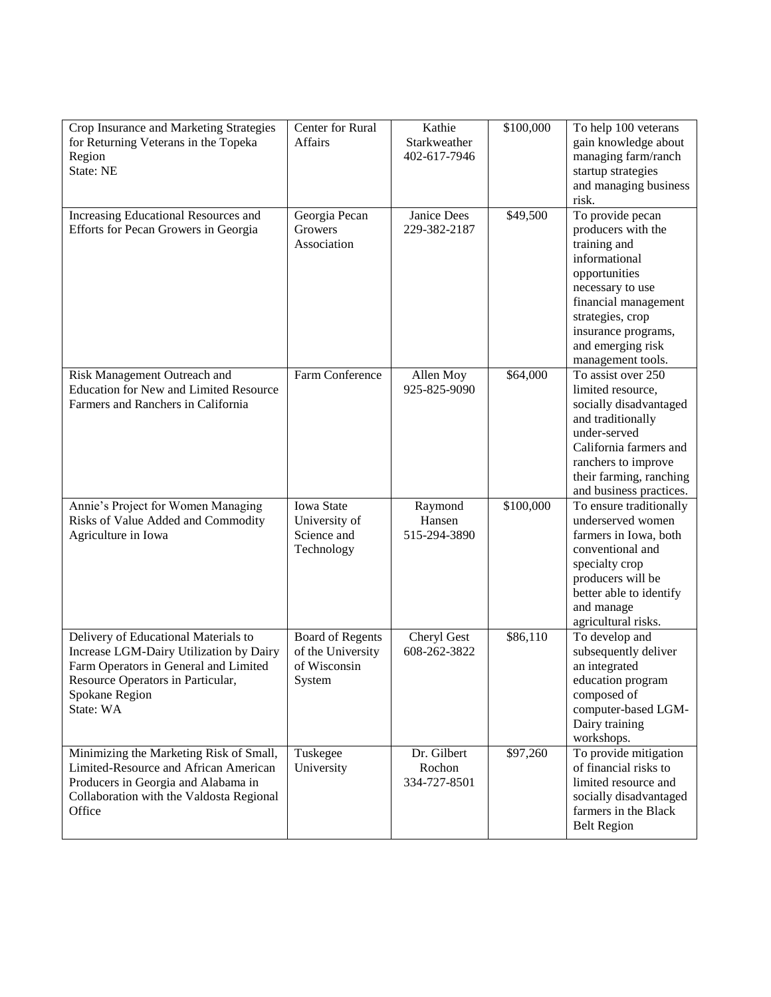| Crop Insurance and Marketing Strategies                                          | Center for Rural        | Kathie       | \$100,000 | To help 100 veterans                |
|----------------------------------------------------------------------------------|-------------------------|--------------|-----------|-------------------------------------|
| for Returning Veterans in the Topeka                                             | <b>Affairs</b>          | Starkweather |           | gain knowledge about                |
| Region                                                                           |                         | 402-617-7946 |           | managing farm/ranch                 |
| State: NE                                                                        |                         |              |           | startup strategies                  |
|                                                                                  |                         |              |           | and managing business               |
|                                                                                  |                         |              |           | risk.                               |
| Increasing Educational Resources and                                             | Georgia Pecan           | Janice Dees  | \$49,500  | To provide pecan                    |
| Efforts for Pecan Growers in Georgia                                             | Growers                 | 229-382-2187 |           | producers with the                  |
|                                                                                  | Association             |              |           | training and                        |
|                                                                                  |                         |              |           | informational                       |
|                                                                                  |                         |              |           | opportunities                       |
|                                                                                  |                         |              |           | necessary to use                    |
|                                                                                  |                         |              |           | financial management                |
|                                                                                  |                         |              |           | strategies, crop                    |
|                                                                                  |                         |              |           | insurance programs,                 |
|                                                                                  |                         |              |           | and emerging risk                   |
|                                                                                  |                         |              |           | management tools.                   |
| Risk Management Outreach and                                                     | Farm Conference         | Allen Moy    | \$64,000  | To assist over 250                  |
| <b>Education for New and Limited Resource</b>                                    |                         | 925-825-9090 |           | limited resource,                   |
| Farmers and Ranchers in California                                               |                         |              |           | socially disadvantaged              |
|                                                                                  |                         |              |           | and traditionally                   |
|                                                                                  |                         |              |           | under-served                        |
|                                                                                  |                         |              |           | California farmers and              |
|                                                                                  |                         |              |           | ranchers to improve                 |
|                                                                                  |                         |              |           | their farming, ranching             |
|                                                                                  |                         |              |           | and business practices.             |
| Annie's Project for Women Managing                                               | <b>Iowa State</b>       | Raymond      | \$100,000 | To ensure traditionally             |
| Risks of Value Added and Commodity                                               | University of           | Hansen       |           | underserved women                   |
| Agriculture in Iowa                                                              | Science and             | 515-294-3890 |           | farmers in Iowa, both               |
|                                                                                  | Technology              |              |           | conventional and                    |
|                                                                                  |                         |              |           | specialty crop                      |
|                                                                                  |                         |              |           | producers will be                   |
|                                                                                  |                         |              |           | better able to identify             |
|                                                                                  |                         |              |           | and manage                          |
|                                                                                  |                         |              |           | agricultural risks.                 |
| Delivery of Educational Materials to                                             | <b>Board of Regents</b> | Cheryl Gest  | \$86,110  | To develop and                      |
| Increase LGM-Dairy Utilization by Dairy                                          | of the University       | 608-262-3822 |           | subsequently deliver                |
| Farm Operators in General and Limited                                            | of Wisconsin            |              |           | an integrated                       |
| Resource Operators in Particular,                                                | System                  |              |           | education program                   |
| Spokane Region                                                                   |                         |              |           | composed of                         |
| State: WA                                                                        |                         |              |           | computer-based LGM-                 |
|                                                                                  |                         |              |           | Dairy training                      |
|                                                                                  |                         | Dr. Gilbert  |           | workshops.<br>To provide mitigation |
| Minimizing the Marketing Risk of Small,<br>Limited-Resource and African American | Tuskegee<br>University  | Rochon       | \$97,260  | of financial risks to               |
| Producers in Georgia and Alabama in                                              |                         | 334-727-8501 |           | limited resource and                |
| Collaboration with the Valdosta Regional                                         |                         |              |           | socially disadvantaged              |
| Office                                                                           |                         |              |           | farmers in the Black                |
|                                                                                  |                         |              |           | <b>Belt Region</b>                  |
|                                                                                  |                         |              |           |                                     |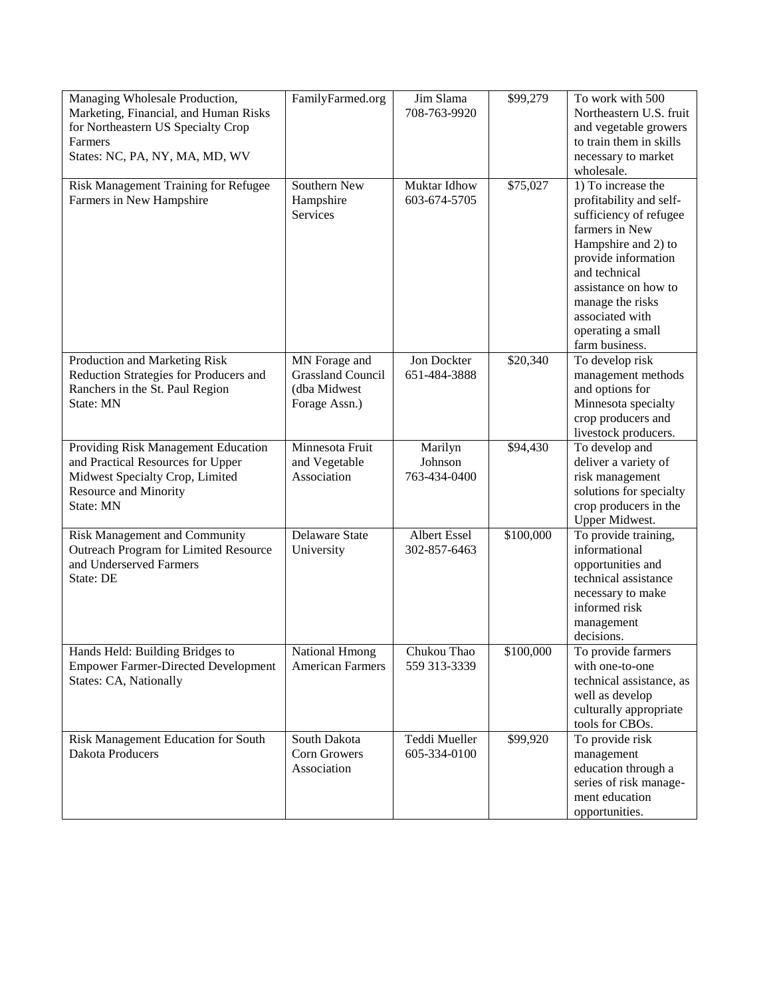| Managing Wholesale Production,             | FamilyFarmed.org         | Jim Slama          | \$99,279  | To work with 500                       |
|--------------------------------------------|--------------------------|--------------------|-----------|----------------------------------------|
| Marketing, Financial, and Human Risks      |                          | 708-763-9920       |           | Northeastern U.S. fruit                |
| for Northeastern US Specialty Crop         |                          |                    |           | and vegetable growers                  |
| Farmers                                    |                          |                    |           | to train them in skills                |
| States: NC, PA, NY, MA, MD, WV             |                          |                    |           | necessary to market                    |
|                                            |                          |                    |           | wholesale.                             |
| Risk Management Training for Refugee       | Southern New             | Muktar Idhow       | \$75,027  | 1) To increase the                     |
| Farmers in New Hampshire                   | Hampshire                | 603-674-5705       |           | profitability and self-                |
|                                            | Services                 |                    |           | sufficiency of refugee                 |
|                                            |                          |                    |           | farmers in New                         |
|                                            |                          |                    |           | Hampshire and 2) to                    |
|                                            |                          |                    |           | provide information                    |
|                                            |                          |                    |           | and technical                          |
|                                            |                          |                    |           | assistance on how to                   |
|                                            |                          |                    |           | manage the risks                       |
|                                            |                          |                    |           | associated with                        |
|                                            |                          |                    |           | operating a small                      |
|                                            |                          |                    |           | farm business.                         |
| Production and Marketing Risk              | MN Forage and            | Jon Dockter        | \$20,340  | To develop risk                        |
| Reduction Strategies for Producers and     | <b>Grassland Council</b> | 651-484-3888       |           | management methods                     |
| Ranchers in the St. Paul Region            | (dba Midwest             |                    |           | and options for                        |
| State: MN                                  | Forage Assn.)            |                    |           | Minnesota specialty                    |
|                                            |                          |                    |           | crop producers and                     |
| Providing Risk Management Education        | Minnesota Fruit          |                    | \$94,430  | livestock producers.                   |
| and Practical Resources for Upper          | and Vegetable            | Marilyn<br>Johnson |           | To develop and<br>deliver a variety of |
| Midwest Specialty Crop, Limited            | Association              | 763-434-0400       |           | risk management                        |
| Resource and Minority                      |                          |                    |           | solutions for specialty                |
| State: MN                                  |                          |                    |           | crop producers in the                  |
|                                            |                          |                    |           | Upper Midwest.                         |
| Risk Management and Community              | <b>Delaware State</b>    | Albert Essel       | \$100,000 | To provide training,                   |
| Outreach Program for Limited Resource      | University               | 302-857-6463       |           | informational                          |
| and Underserved Farmers                    |                          |                    |           | opportunities and                      |
| State: DE                                  |                          |                    |           | technical assistance                   |
|                                            |                          |                    |           | necessary to make                      |
|                                            |                          |                    |           | informed risk                          |
|                                            |                          |                    |           | management                             |
|                                            |                          |                    |           | decisions.                             |
| Hands Held: Building Bridges to            | National Hmong           | Chukou Thao        | \$100,000 | To provide farmers                     |
| <b>Empower Farmer-Directed Development</b> | <b>American Farmers</b>  | 559 313-3339       |           | with one-to-one                        |
| States: CA, Nationally                     |                          |                    |           | technical assistance, as               |
|                                            |                          |                    |           | well as develop                        |
|                                            |                          |                    |           | culturally appropriate                 |
|                                            |                          |                    |           | tools for CBOs.                        |
| Risk Management Education for South        | South Dakota             | Teddi Mueller      | \$99,920  | To provide risk                        |
| Dakota Producers                           | Corn Growers             | 605-334-0100       |           | management                             |
|                                            | Association              |                    |           | education through a                    |
|                                            |                          |                    |           | series of risk manage-                 |
|                                            |                          |                    |           | ment education                         |
|                                            |                          |                    |           | opportunities.                         |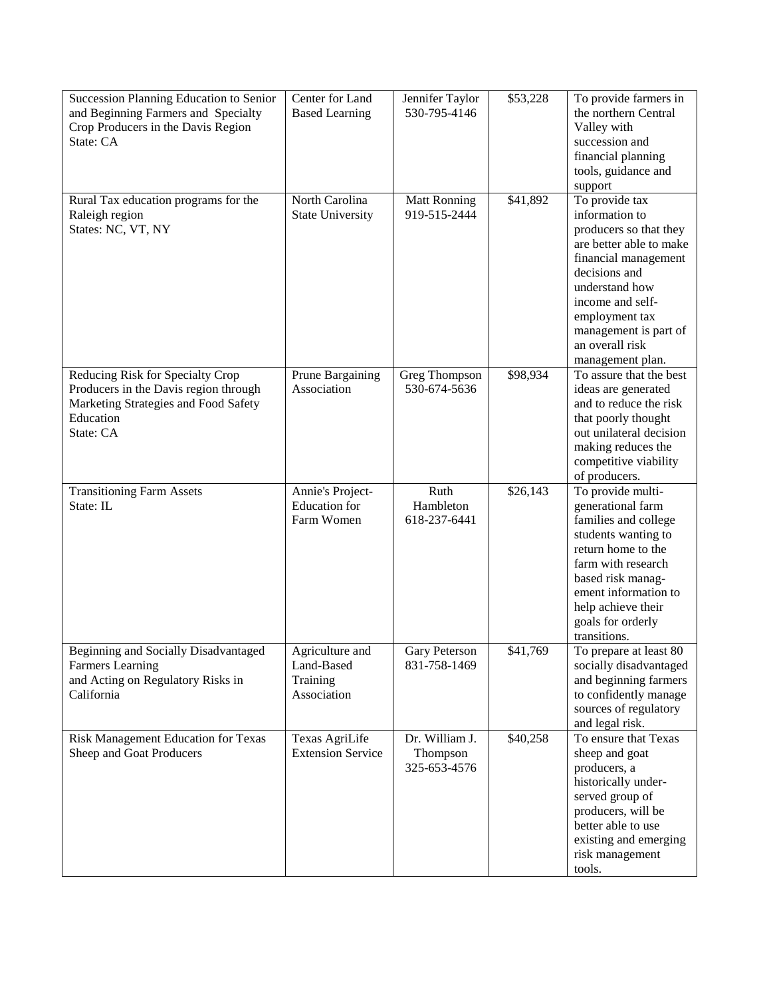| Succession Planning Education to Senior<br>and Beginning Farmers and Specialty<br>Crop Producers in the Davis Region<br>State: CA           | Center for Land<br><b>Based Learning</b>                 | Jennifer Taylor<br>530-795-4146            | \$53,228 | To provide farmers in<br>the northern Central<br>Valley with<br>succession and<br>financial planning<br>tools, guidance and<br>support                                                                                                                 |
|---------------------------------------------------------------------------------------------------------------------------------------------|----------------------------------------------------------|--------------------------------------------|----------|--------------------------------------------------------------------------------------------------------------------------------------------------------------------------------------------------------------------------------------------------------|
| Rural Tax education programs for the<br>Raleigh region<br>States: NC, VT, NY                                                                | North Carolina<br><b>State University</b>                | <b>Matt Ronning</b><br>919-515-2444        | \$41,892 | To provide tax<br>information to<br>producers so that they<br>are better able to make<br>financial management<br>decisions and<br>understand how<br>income and self-<br>employment tax<br>management is part of<br>an overall risk<br>management plan. |
| Reducing Risk for Specialty Crop<br>Producers in the Davis region through<br>Marketing Strategies and Food Safety<br>Education<br>State: CA | Prune Bargaining<br>Association                          | Greg Thompson<br>530-674-5636              | \$98,934 | To assure that the best<br>ideas are generated<br>and to reduce the risk<br>that poorly thought<br>out unilateral decision<br>making reduces the<br>competitive viability<br>of producers.                                                             |
| <b>Transitioning Farm Assets</b><br>State: IL                                                                                               | Annie's Project-<br><b>Education</b> for<br>Farm Women   | Ruth<br>Hambleton<br>618-237-6441          | \$26,143 | To provide multi-<br>generational farm<br>families and college<br>students wanting to<br>return home to the<br>farm with research<br>based risk manag-<br>ement information to<br>help achieve their<br>goals for orderly<br>transitions.              |
| Beginning and Socially Disadvantaged<br><b>Farmers</b> Learning<br>and Acting on Regulatory Risks in<br>California                          | Agriculture and<br>Land-Based<br>Training<br>Association | <b>Gary Peterson</b><br>831-758-1469       | \$41,769 | To prepare at least 80<br>socially disadvantaged<br>and beginning farmers<br>to confidently manage<br>sources of regulatory<br>and legal risk.                                                                                                         |
| Risk Management Education for Texas<br>Sheep and Goat Producers                                                                             | Texas AgriLife<br><b>Extension Service</b>               | Dr. William J.<br>Thompson<br>325-653-4576 | \$40,258 | To ensure that Texas<br>sheep and goat<br>producers, a<br>historically under-<br>served group of<br>producers, will be<br>better able to use<br>existing and emerging                                                                                  |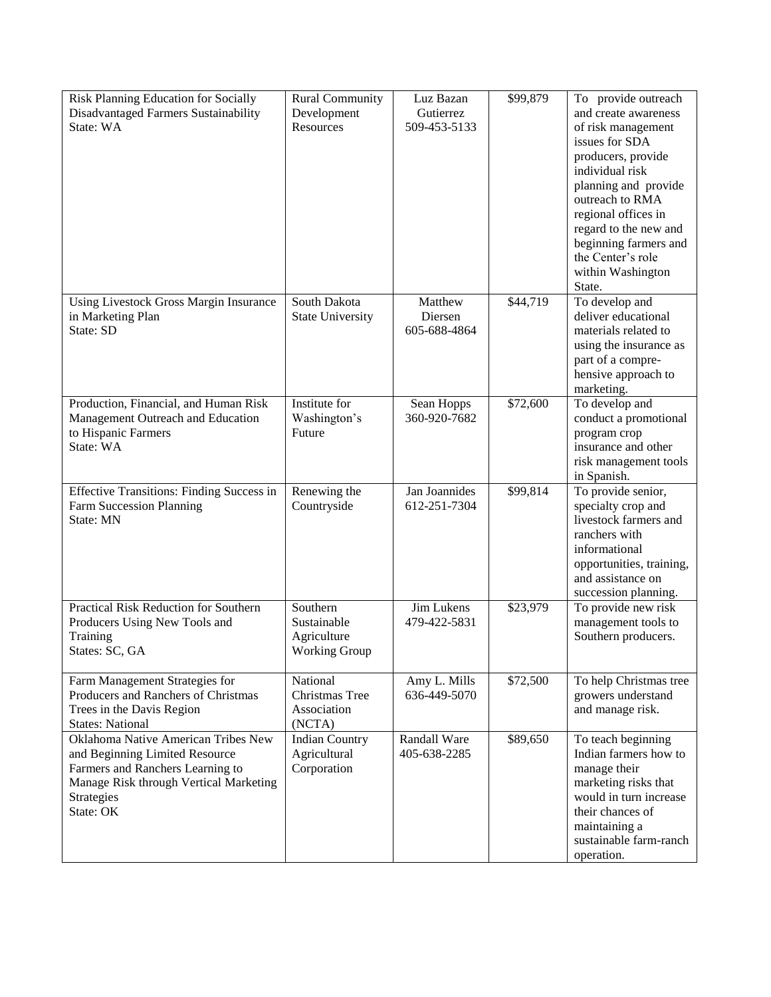| Risk Planning Education for Socially<br><b>Disadvantaged Farmers Sustainability</b><br>State: WA                                                                               | <b>Rural Community</b><br>Development<br>Resources      | Luz Bazan<br>Gutierrez<br>509-453-5133 | \$99,879 | To provide outreach<br>and create awareness<br>of risk management<br>issues for SDA<br>producers, provide<br>individual risk<br>planning and provide<br>outreach to RMA<br>regional offices in<br>regard to the new and<br>beginning farmers and<br>the Center's role<br>within Washington<br>State. |
|--------------------------------------------------------------------------------------------------------------------------------------------------------------------------------|---------------------------------------------------------|----------------------------------------|----------|------------------------------------------------------------------------------------------------------------------------------------------------------------------------------------------------------------------------------------------------------------------------------------------------------|
| Using Livestock Gross Margin Insurance<br>in Marketing Plan<br>State: SD                                                                                                       | South Dakota<br><b>State University</b>                 | Matthew<br>Diersen<br>605-688-4864     | \$44,719 | To develop and<br>deliver educational<br>materials related to<br>using the insurance as<br>part of a compre-<br>hensive approach to<br>marketing.                                                                                                                                                    |
| Production, Financial, and Human Risk<br>Management Outreach and Education<br>to Hispanic Farmers<br>State: WA                                                                 | Institute for<br>Washington's<br>Future                 | Sean Hopps<br>360-920-7682             | \$72,600 | To develop and<br>conduct a promotional<br>program crop<br>insurance and other<br>risk management tools<br>in Spanish.                                                                                                                                                                               |
| Effective Transitions: Finding Success in<br>Farm Succession Planning<br>State: MN                                                                                             | Renewing the<br>Countryside                             | Jan Joannides<br>612-251-7304          | \$99,814 | To provide senior,<br>specialty crop and<br>livestock farmers and<br>ranchers with<br>informational<br>opportunities, training,<br>and assistance on<br>succession planning.                                                                                                                         |
| Practical Risk Reduction for Southern<br>Producers Using New Tools and<br>Training<br>States: SC, GA                                                                           | Southern<br>Sustainable<br>Agriculture<br>Working Group | Jim Lukens<br>479-422-5831             | \$23,979 | To provide new risk<br>management tools to<br>Southern producers.                                                                                                                                                                                                                                    |
| Farm Management Strategies for<br>Producers and Ranchers of Christmas<br>Trees in the Davis Region<br><b>States: National</b>                                                  | National<br>Christmas Tree<br>Association<br>(NCTA)     | Amy L. Mills<br>636-449-5070           | \$72,500 | To help Christmas tree<br>growers understand<br>and manage risk.                                                                                                                                                                                                                                     |
| Oklahoma Native American Tribes New<br>and Beginning Limited Resource<br>Farmers and Ranchers Learning to<br>Manage Risk through Vertical Marketing<br>Strategies<br>State: OK | <b>Indian Country</b><br>Agricultural<br>Corporation    | Randall Ware<br>405-638-2285           | \$89,650 | To teach beginning<br>Indian farmers how to<br>manage their<br>marketing risks that<br>would in turn increase<br>their chances of<br>maintaining a<br>sustainable farm-ranch<br>operation.                                                                                                           |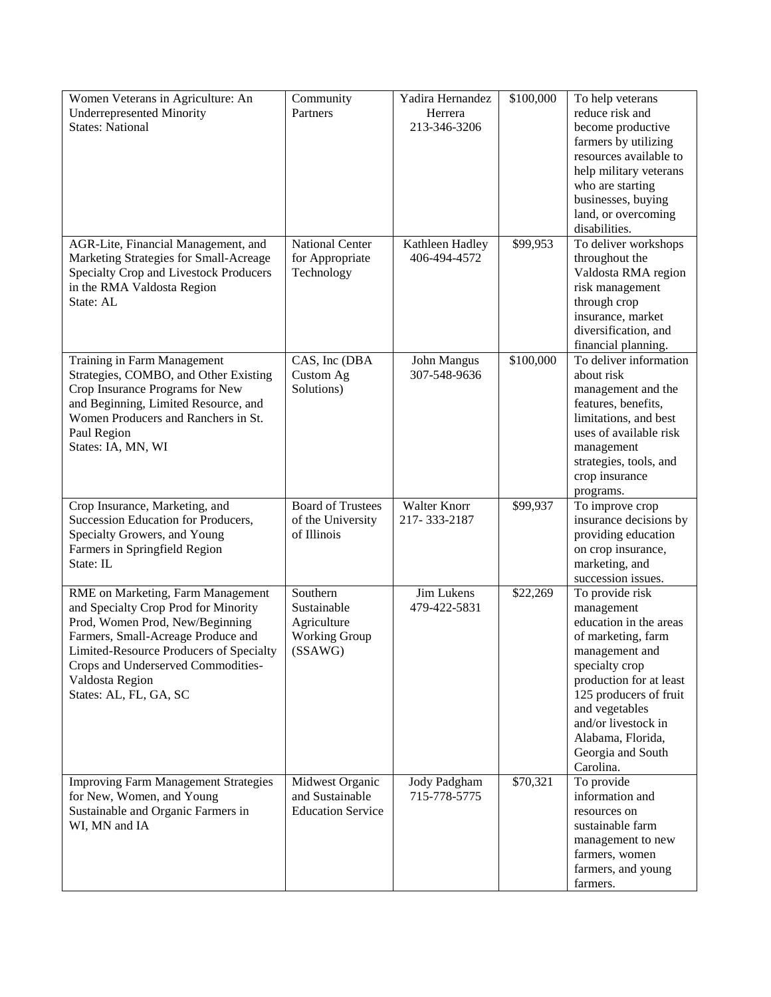| Women Veterans in Agriculture: An             | Community                | Yadira Hernandez    | \$100,000 | To help veterans        |
|-----------------------------------------------|--------------------------|---------------------|-----------|-------------------------|
| <b>Underrepresented Minority</b>              | Partners                 | Herrera             |           | reduce risk and         |
| <b>States: National</b>                       |                          | 213-346-3206        |           | become productive       |
|                                               |                          |                     |           | farmers by utilizing    |
|                                               |                          |                     |           | resources available to  |
|                                               |                          |                     |           | help military veterans  |
|                                               |                          |                     |           | who are starting        |
|                                               |                          |                     |           |                         |
|                                               |                          |                     |           | businesses, buying      |
|                                               |                          |                     |           | land, or overcoming     |
|                                               |                          |                     |           | disabilities.           |
| AGR-Lite, Financial Management, and           | <b>National Center</b>   | Kathleen Hadley     | \$99,953  | To deliver workshops    |
| Marketing Strategies for Small-Acreage        | for Appropriate          | 406-494-4572        |           | throughout the          |
| <b>Specialty Crop and Livestock Producers</b> | Technology               |                     |           | Valdosta RMA region     |
| in the RMA Valdosta Region                    |                          |                     |           | risk management         |
| State: AL                                     |                          |                     |           | through crop            |
|                                               |                          |                     |           | insurance, market       |
|                                               |                          |                     |           | diversification, and    |
|                                               |                          |                     |           | financial planning.     |
| <b>Training in Farm Management</b>            | CAS, Inc (DBA            | John Mangus         | \$100,000 | To deliver information  |
| Strategies, COMBO, and Other Existing         | Custom Ag                | 307-548-9636        |           | about risk              |
| Crop Insurance Programs for New               | Solutions)               |                     |           | management and the      |
| and Beginning, Limited Resource, and          |                          |                     |           | features, benefits,     |
| Women Producers and Ranchers in St.           |                          |                     |           | limitations, and best   |
| Paul Region                                   |                          |                     |           | uses of available risk  |
| States: IA, MN, WI                            |                          |                     |           | management              |
|                                               |                          |                     |           | strategies, tools, and  |
|                                               |                          |                     |           | crop insurance          |
|                                               |                          |                     |           | programs.               |
| Crop Insurance, Marketing, and                | <b>Board of Trustees</b> | <b>Walter Knorr</b> | \$99,937  | To improve crop         |
| Succession Education for Producers,           | of the University        | 217-333-2187        |           | insurance decisions by  |
| Specialty Growers, and Young                  | of Illinois              |                     |           | providing education     |
| Farmers in Springfield Region                 |                          |                     |           | on crop insurance,      |
| State: IL                                     |                          |                     |           | marketing, and          |
|                                               |                          |                     |           | succession issues.      |
| RME on Marketing, Farm Management             | Southern                 | Jim Lukens          | \$22,269  | To provide risk         |
| and Specialty Crop Prod for Minority          | Sustainable              | 479-422-5831        |           | management              |
| Prod, Women Prod, New/Beginning               | Agriculture              |                     |           | education in the areas  |
| Farmers, Small-Acreage Produce and            | <b>Working Group</b>     |                     |           | of marketing, farm      |
|                                               | (SSAWG)                  |                     |           |                         |
| Limited-Resource Producers of Specialty       |                          |                     |           | management and          |
| Crops and Underserved Commodities-            |                          |                     |           | specialty crop          |
| Valdosta Region                               |                          |                     |           | production for at least |
| States: AL, FL, GA, SC                        |                          |                     |           | 125 producers of fruit  |
|                                               |                          |                     |           | and vegetables          |
|                                               |                          |                     |           | and/or livestock in     |
|                                               |                          |                     |           | Alabama, Florida,       |
|                                               |                          |                     |           | Georgia and South       |
|                                               |                          |                     |           | Carolina.               |
| <b>Improving Farm Management Strategies</b>   | Midwest Organic          | Jody Padgham        | \$70,321  | To provide              |
| for New, Women, and Young                     | and Sustainable          | 715-778-5775        |           | information and         |
| Sustainable and Organic Farmers in            | <b>Education Service</b> |                     |           | resources on            |
| WI, MN and IA                                 |                          |                     |           | sustainable farm        |
|                                               |                          |                     |           | management to new       |
|                                               |                          |                     |           | farmers, women          |
|                                               |                          |                     |           | farmers, and young      |
|                                               |                          |                     |           | farmers.                |